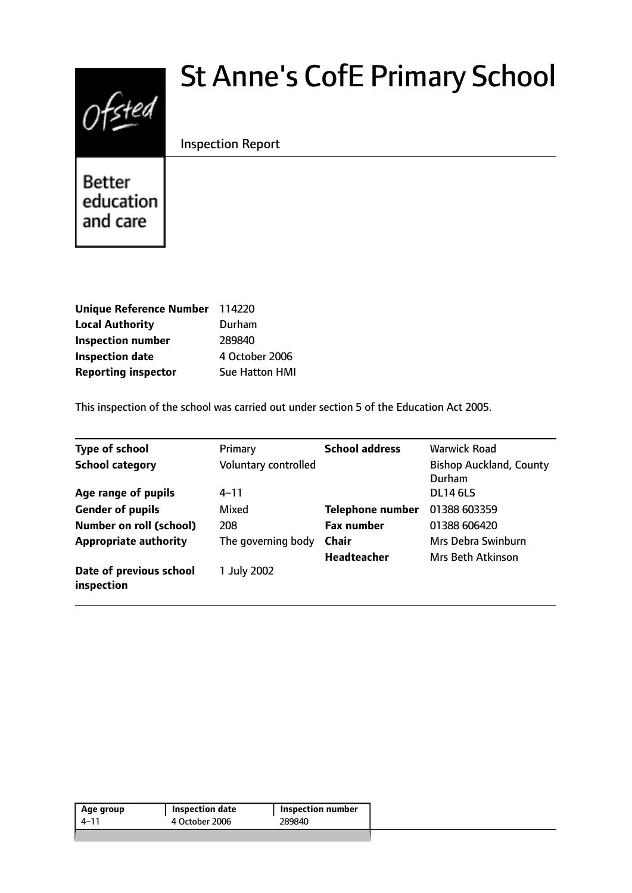

# St Anne's CofE Primary School

Inspection Report

**Better** education and care

| Unique Reference Number 114220 |                       |
|--------------------------------|-----------------------|
| <b>Local Authority</b>         | Durham                |
| <b>Inspection number</b>       | 289840                |
| <b>Inspection date</b>         | 4 October 2006        |
| <b>Reporting inspector</b>     | <b>Sue Hatton HMI</b> |

This inspection of the school was carried out under section 5 of the Education Act 2005.

| <b>Type of school</b>                 | Primary              | <b>School address</b>   | <b>Warwick Road</b>                      |
|---------------------------------------|----------------------|-------------------------|------------------------------------------|
| <b>School category</b>                | Voluntary controlled |                         | <b>Bishop Auckland, County</b><br>Durham |
| Age range of pupils                   | $4 - 11$             |                         | <b>DL14 6LS</b>                          |
| <b>Gender of pupils</b>               | Mixed                | <b>Telephone number</b> | 01388 603359                             |
| <b>Number on roll (school)</b>        | 208                  | <b>Fax number</b>       | 01388 606420                             |
| <b>Appropriate authority</b>          | The governing body   | <b>Chair</b>            | Mrs Debra Swinburn                       |
|                                       |                      | <b>Headteacher</b>      | <b>Mrs Beth Atkinson</b>                 |
| Date of previous school<br>inspection | 1 July 2002          |                         |                                          |

| Age group | Inspection date | Inspection number |
|-----------|-----------------|-------------------|
| 4–11      | 4 October 2006  | 289840            |
|           |                 |                   |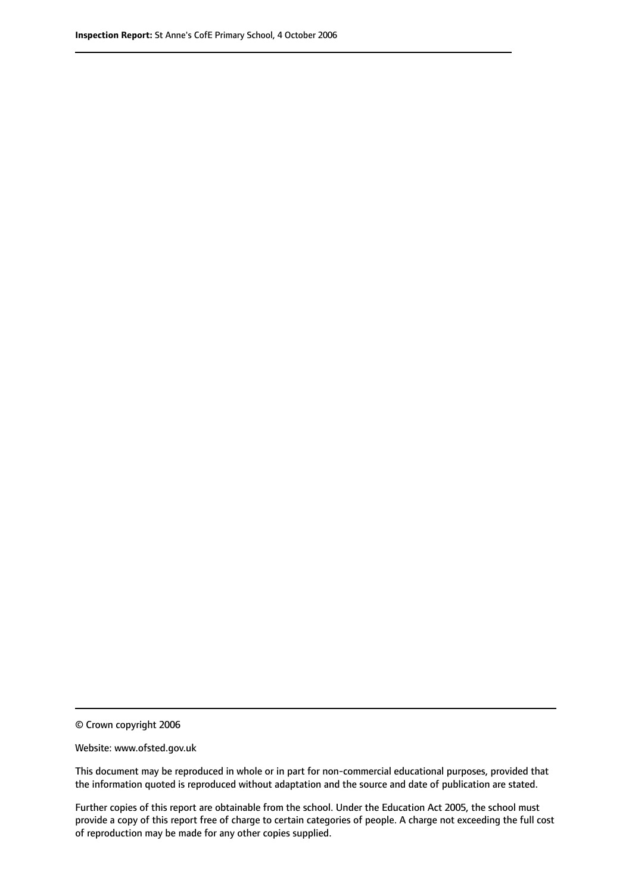© Crown copyright 2006

Website: www.ofsted.gov.uk

This document may be reproduced in whole or in part for non-commercial educational purposes, provided that the information quoted is reproduced without adaptation and the source and date of publication are stated.

Further copies of this report are obtainable from the school. Under the Education Act 2005, the school must provide a copy of this report free of charge to certain categories of people. A charge not exceeding the full cost of reproduction may be made for any other copies supplied.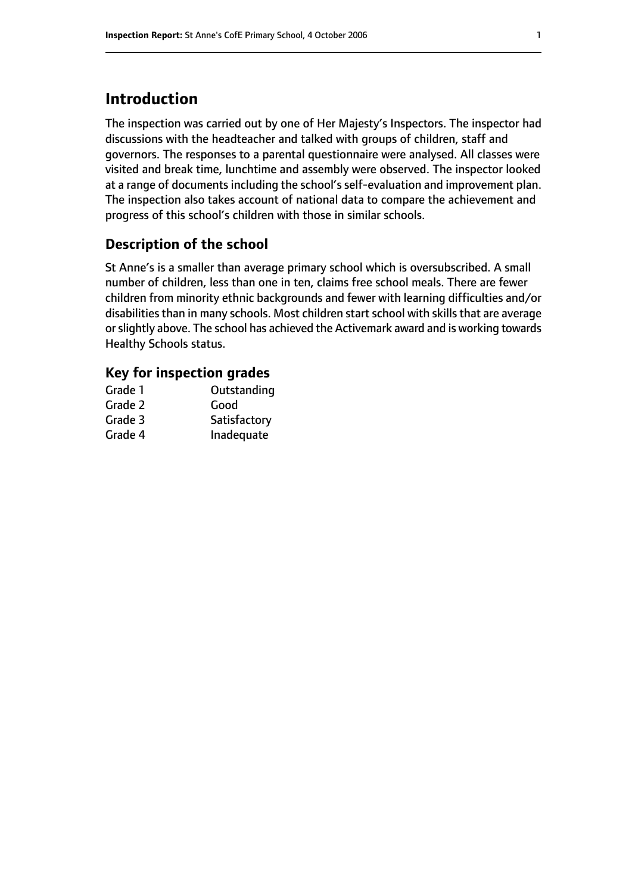# **Introduction**

The inspection was carried out by one of Her Majesty's Inspectors. The inspector had discussions with the headteacher and talked with groups of children, staff and governors. The responses to a parental questionnaire were analysed. All classes were visited and break time, lunchtime and assembly were observed. The inspector looked at a range of documents including the school's self-evaluation and improvement plan. The inspection also takes account of national data to compare the achievement and progress of this school's children with those in similar schools.

## **Description of the school**

St Anne's is a smaller than average primary school which is oversubscribed. A small number of children, less than one in ten, claims free school meals. There are fewer children from minority ethnic backgrounds and fewer with learning difficulties and/or disabilities than in many schools. Most children start school with skills that are average or slightly above. The school has achieved the Activemark award and is working towards Healthy Schools status.

### **Key for inspection grades**

| Outstanding  |
|--------------|
| Good         |
| Satisfactory |
| Inadequate   |
|              |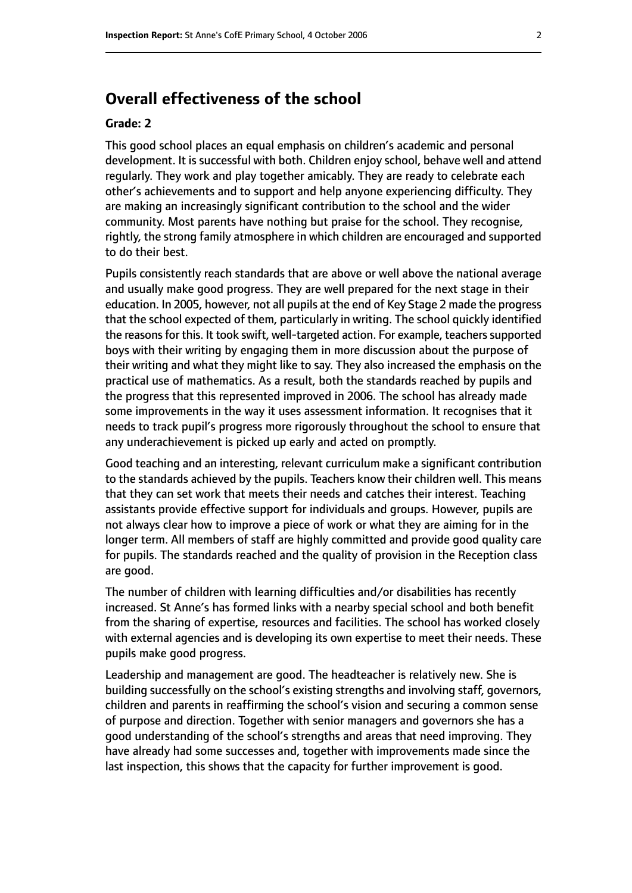# **Overall effectiveness of the school**

#### **Grade: 2**

This good school places an equal emphasis on children's academic and personal development. It is successful with both. Children enjoy school, behave well and attend regularly. They work and play together amicably. They are ready to celebrate each other's achievements and to support and help anyone experiencing difficulty. They are making an increasingly significant contribution to the school and the wider community. Most parents have nothing but praise for the school. They recognise, rightly, the strong family atmosphere in which children are encouraged and supported to do their best.

Pupils consistently reach standards that are above or well above the national average and usually make good progress. They are well prepared for the next stage in their education. In 2005, however, not all pupils at the end of Key Stage 2 made the progress that the school expected of them, particularly in writing. The school quickly identified the reasons for this. It took swift, well-targeted action. For example, teachers supported boys with their writing by engaging them in more discussion about the purpose of their writing and what they might like to say. They also increased the emphasis on the practical use of mathematics. As a result, both the standards reached by pupils and the progress that this represented improved in 2006. The school has already made some improvements in the way it uses assessment information. It recognises that it needs to track pupil's progress more rigorously throughout the school to ensure that any underachievement is picked up early and acted on promptly.

Good teaching and an interesting, relevant curriculum make a significant contribution to the standards achieved by the pupils. Teachers know their children well. This means that they can set work that meets their needs and catches their interest. Teaching assistants provide effective support for individuals and groups. However, pupils are not always clear how to improve a piece of work or what they are aiming for in the longer term. All members of staff are highly committed and provide good quality care for pupils. The standards reached and the quality of provision in the Reception class are good.

The number of children with learning difficulties and/or disabilities has recently increased. St Anne's has formed links with a nearby special school and both benefit from the sharing of expertise, resources and facilities. The school has worked closely with external agencies and is developing its own expertise to meet their needs. These pupils make good progress.

Leadership and management are good. The headteacher is relatively new. She is building successfully on the school's existing strengths and involving staff, governors, children and parents in reaffirming the school's vision and securing a common sense of purpose and direction. Together with senior managers and governors she has a good understanding of the school's strengths and areas that need improving. They have already had some successes and, together with improvements made since the last inspection, this shows that the capacity for further improvement is good.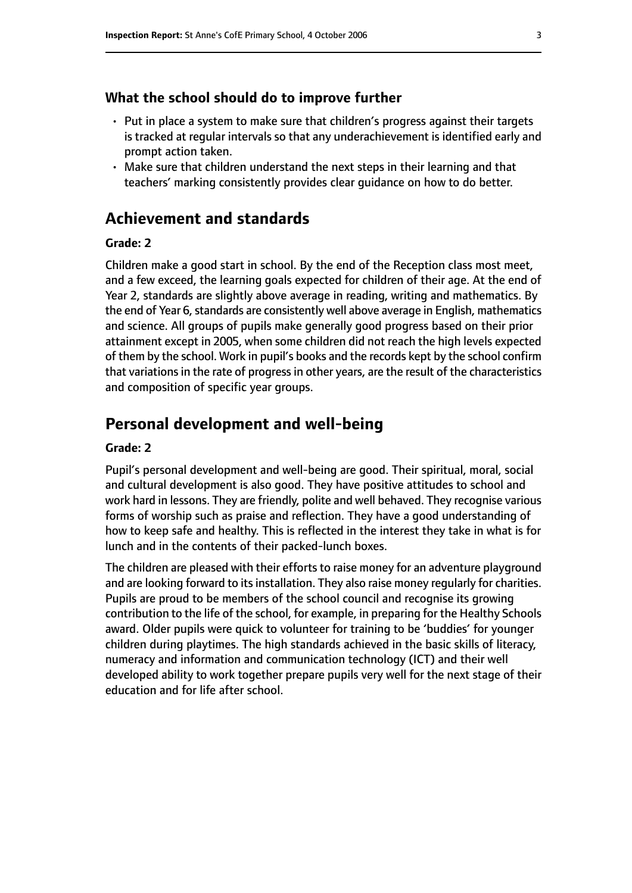#### **What the school should do to improve further**

- Put in place a system to make sure that children's progress against their targets is tracked at regular intervals so that any underachievement is identified early and prompt action taken.
- Make sure that children understand the next steps in their learning and that teachers' marking consistently provides clear guidance on how to do better.

## **Achievement and standards**

#### **Grade: 2**

Children make a good start in school. By the end of the Reception class most meet, and a few exceed, the learning goals expected for children of their age. At the end of Year 2, standards are slightly above average in reading, writing and mathematics. By the end of Year 6, standards are consistently well above average in English, mathematics and science. All groups of pupils make generally good progress based on their prior attainment except in 2005, when some children did not reach the high levels expected of them by the school. Work in pupil's books and the records kept by the school confirm that variations in the rate of progress in other years, are the result of the characteristics and composition of specific year groups.

## **Personal development and well-being**

#### **Grade: 2**

Pupil's personal development and well-being are good. Their spiritual, moral, social and cultural development is also good. They have positive attitudes to school and work hard in lessons. They are friendly, polite and well behaved. They recognise various forms of worship such as praise and reflection. They have a good understanding of how to keep safe and healthy. This is reflected in the interest they take in what is for lunch and in the contents of their packed-lunch boxes.

The children are pleased with their efforts to raise money for an adventure playground and are looking forward to its installation. They also raise money regularly for charities. Pupils are proud to be members of the school council and recognise its growing contribution to the life of the school, for example, in preparing for the Healthy Schools award. Older pupils were quick to volunteer for training to be 'buddies' for younger children during playtimes. The high standards achieved in the basic skills of literacy, numeracy and information and communication technology (ICT) and their well developed ability to work together prepare pupils very well for the next stage of their education and for life after school.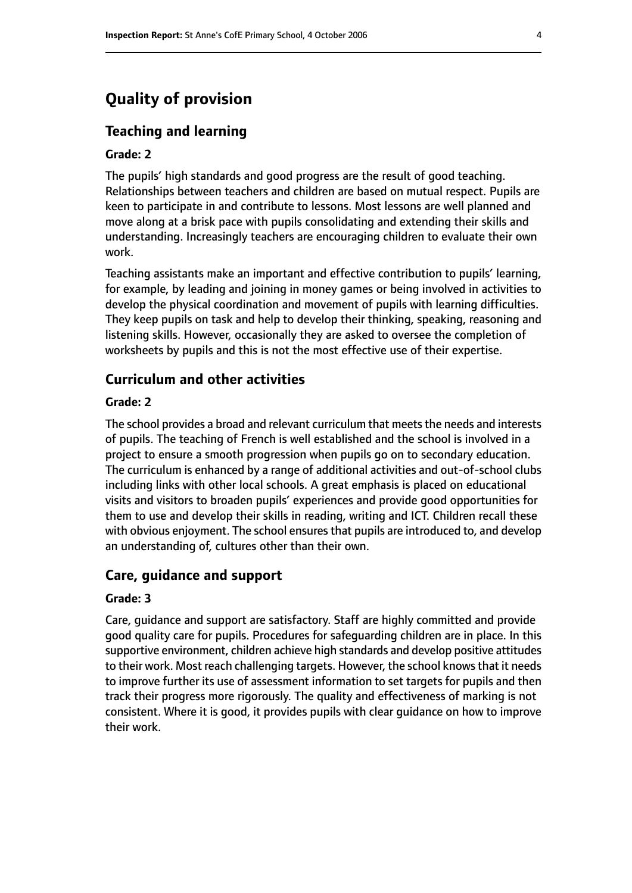# **Quality of provision**

#### **Teaching and learning**

#### **Grade: 2**

The pupils' high standards and good progress are the result of good teaching. Relationships between teachers and children are based on mutual respect. Pupils are keen to participate in and contribute to lessons. Most lessons are well planned and move along at a brisk pace with pupils consolidating and extending their skills and understanding. Increasingly teachers are encouraging children to evaluate their own work.

Teaching assistants make an important and effective contribution to pupils' learning, for example, by leading and joining in money games or being involved in activities to develop the physical coordination and movement of pupils with learning difficulties. They keep pupils on task and help to develop their thinking, speaking, reasoning and listening skills. However, occasionally they are asked to oversee the completion of worksheets by pupils and this is not the most effective use of their expertise.

#### **Curriculum and other activities**

#### **Grade: 2**

The school provides a broad and relevant curriculum that meets the needs and interests of pupils. The teaching of French is well established and the school is involved in a project to ensure a smooth progression when pupils go on to secondary education. The curriculum is enhanced by a range of additional activities and out-of-school clubs including links with other local schools. A great emphasis is placed on educational visits and visitors to broaden pupils' experiences and provide good opportunities for them to use and develop their skills in reading, writing and ICT. Children recall these with obvious enjoyment. The school ensures that pupils are introduced to, and develop an understanding of, cultures other than their own.

#### **Care, guidance and support**

#### **Grade: 3**

Care, guidance and support are satisfactory. Staff are highly committed and provide good quality care for pupils. Procedures for safeguarding children are in place. In this supportive environment, children achieve high standards and develop positive attitudes to their work. Most reach challenging targets. However, the school knowsthat it needs to improve further its use of assessment information to set targets for pupils and then track their progress more rigorously. The quality and effectiveness of marking is not consistent. Where it is good, it provides pupils with clear guidance on how to improve their work.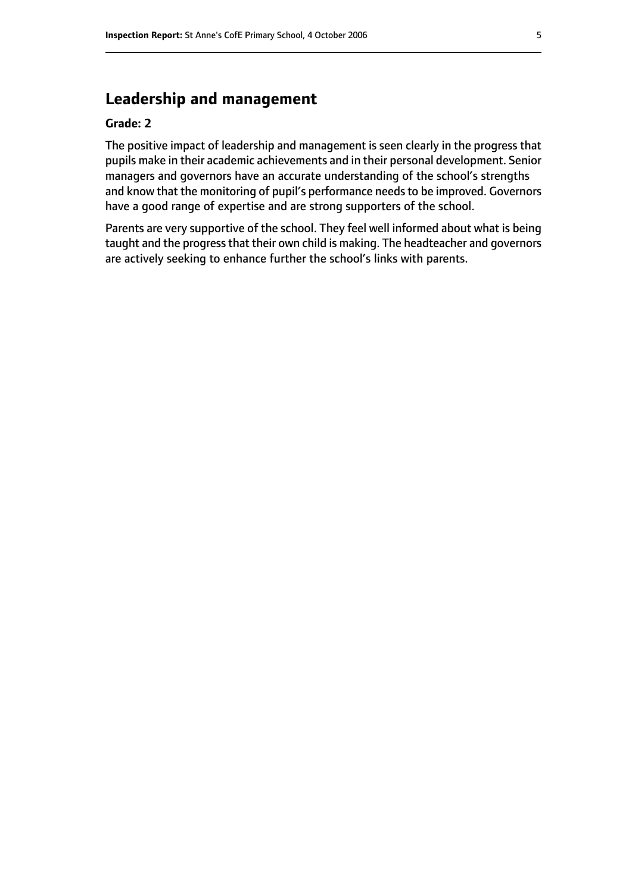# **Leadership and management**

#### **Grade: 2**

The positive impact of leadership and management is seen clearly in the progress that pupils make in their academic achievements and in their personal development. Senior managers and governors have an accurate understanding of the school's strengths and know that the monitoring of pupil's performance needs to be improved. Governors have a good range of expertise and are strong supporters of the school.

Parents are very supportive of the school. They feel well informed about what is being taught and the progress that their own child is making. The headteacher and governors are actively seeking to enhance further the school's links with parents.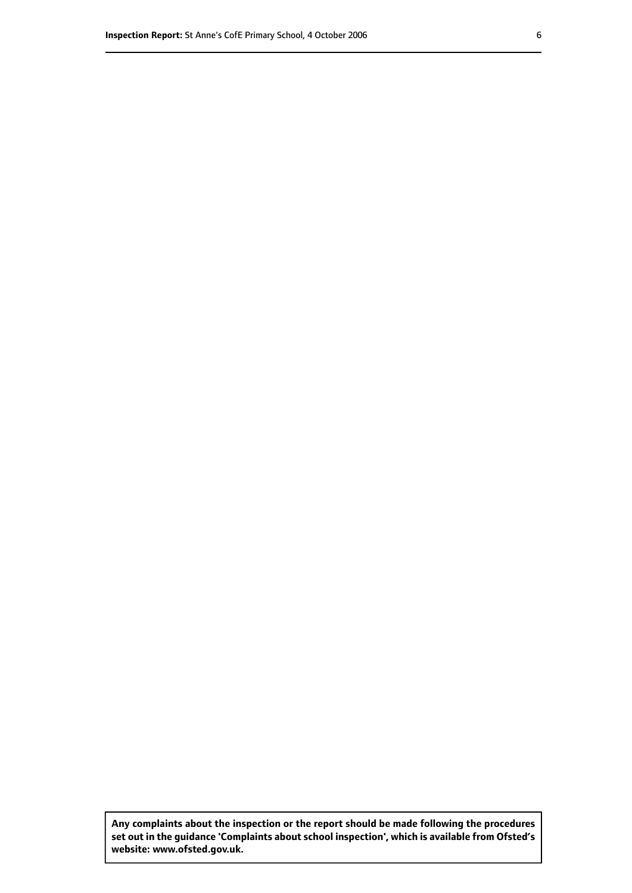**Any complaints about the inspection or the report should be made following the procedures set out inthe guidance 'Complaints about school inspection', whichis available from Ofsted's website: www.ofsted.gov.uk.**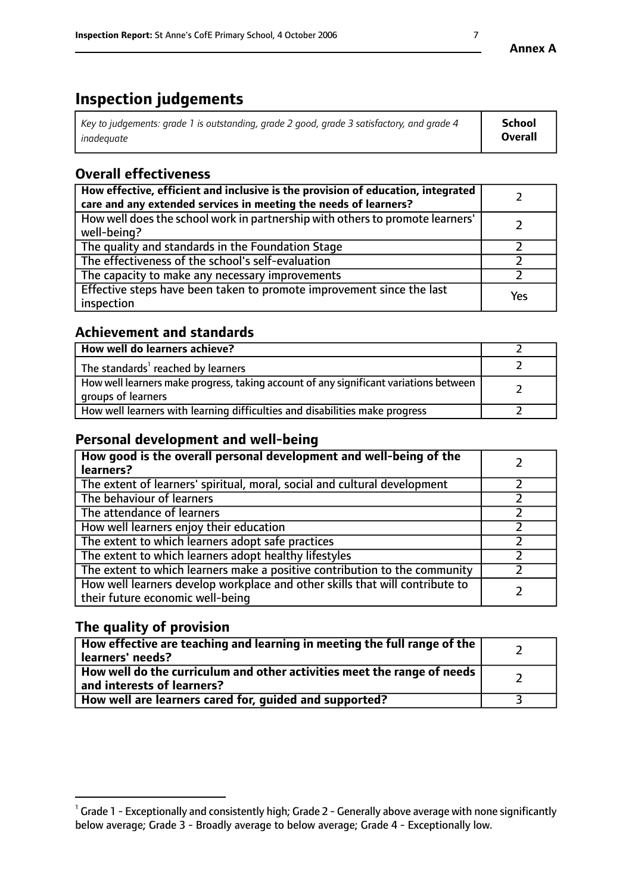# **Inspection judgements**

| Key to judgements: grade 1 is outstanding, grade 2 good, grade 3 satisfactory, and grade 4 | School         |
|--------------------------------------------------------------------------------------------|----------------|
| inadeauate                                                                                 | <b>Overall</b> |

# **Overall effectiveness**

| How effective, efficient and inclusive is the provision of education, integrated<br>care and any extended services in meeting the needs of learners? |     |
|------------------------------------------------------------------------------------------------------------------------------------------------------|-----|
| How well does the school work in partnership with others to promote learners'<br>well-being?                                                         |     |
| The quality and standards in the Foundation Stage                                                                                                    |     |
| The effectiveness of the school's self-evaluation                                                                                                    |     |
| The capacity to make any necessary improvements                                                                                                      |     |
| Effective steps have been taken to promote improvement since the last<br>inspection                                                                  | Yes |

## **Achievement and standards**

| How well do learners achieve?                                                                               |  |
|-------------------------------------------------------------------------------------------------------------|--|
| The standards <sup>1</sup> reached by learners                                                              |  |
| How well learners make progress, taking account of any significant variations between<br>groups of learners |  |
| How well learners with learning difficulties and disabilities make progress                                 |  |

## **Personal development and well-being**

| How good is the overall personal development and well-being of the<br>learners?                                  |  |
|------------------------------------------------------------------------------------------------------------------|--|
| The extent of learners' spiritual, moral, social and cultural development                                        |  |
| The behaviour of learners                                                                                        |  |
| The attendance of learners                                                                                       |  |
| How well learners enjoy their education                                                                          |  |
| The extent to which learners adopt safe practices                                                                |  |
| The extent to which learners adopt healthy lifestyles                                                            |  |
| The extent to which learners make a positive contribution to the community                                       |  |
| How well learners develop workplace and other skills that will contribute to<br>their future economic well-being |  |

# **The quality of provision**

| $\Box$ How effective are teaching and learning in meeting the full range of the $\Box$<br>  learners' needs?        |  |
|---------------------------------------------------------------------------------------------------------------------|--|
| $\mid$ How well do the curriculum and other activities meet the range of needs<br>$\mid$ and interests of learners? |  |
| How well are learners cared for, guided and supported?                                                              |  |

 $^1$  Grade 1 - Exceptionally and consistently high; Grade 2 - Generally above average with none significantly below average; Grade 3 - Broadly average to below average; Grade 4 - Exceptionally low.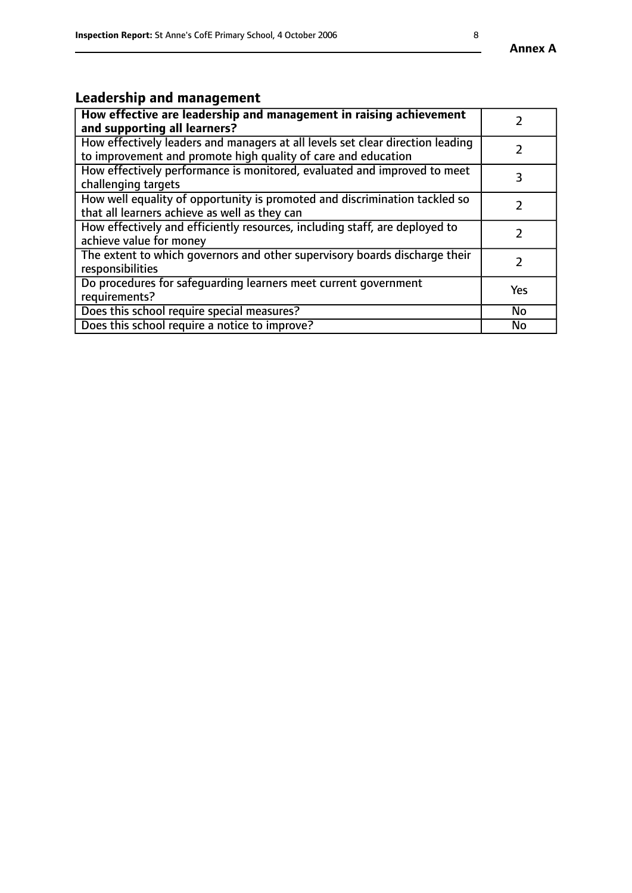#### **Annex A**

# **Leadership and management**

| How effective are leadership and management in raising achievement<br>and supporting all learners?                                              |           |
|-------------------------------------------------------------------------------------------------------------------------------------------------|-----------|
| How effectively leaders and managers at all levels set clear direction leading<br>to improvement and promote high quality of care and education |           |
| How effectively performance is monitored, evaluated and improved to meet<br>challenging targets                                                 |           |
| How well equality of opportunity is promoted and discrimination tackled so<br>that all learners achieve as well as they can                     |           |
| How effectively and efficiently resources, including staff, are deployed to<br>achieve value for money                                          |           |
| The extent to which governors and other supervisory boards discharge their<br>responsibilities                                                  |           |
| Do procedures for safequarding learners meet current government<br>requirements?                                                                | Yes       |
| Does this school require special measures?                                                                                                      | <b>No</b> |
| Does this school require a notice to improve?                                                                                                   | <b>No</b> |